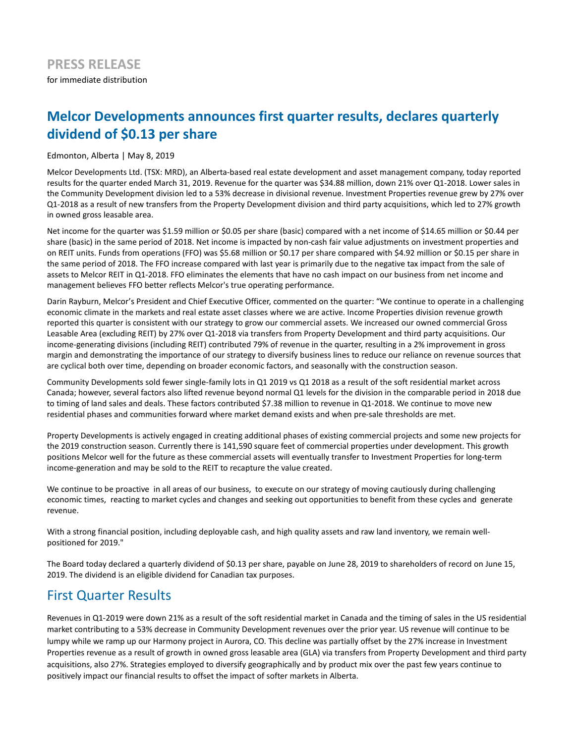# **Melcor Developments announces first quarter results, declares quarterly dividend of \$0.13 per share**

Edmonton, Alberta | May 8, 2019

Melcor Developments Ltd. (TSX: MRD), an Alberta-based real estate development and asset management company, today reported results for the quarter ended March 31, 2019. Revenue for the quarter was \$34.88 million, down 21% over Q1-2018. Lower sales in the Community Development division led to a 53% decrease in divisional revenue. Investment Properties revenue grew by 27% over Q1-2018 as a result of new transfers from the Property Development division and third party acquisitions, which led to 27% growth in owned gross leasable area.

Net income for the quarter was \$1.59 million or \$0.05 per share (basic) compared with a net income of \$14.65 million or \$0.44 per share (basic) in the same period of 2018. Net income is impacted by non-cash fair value adjustments on investment properties and on REIT units. Funds from operations (FFO) was \$5.68 million or \$0.17 per share compared with \$4.92 million or \$0.15 per share in the same period of 2018. The FFO increase compared with last year is primarily due to the negative tax impact from the sale of assets to Melcor REIT in Q1-2018. FFO eliminates the elements that have no cash impact on our business from net income and management believes FFO better reflects Melcor's true operating performance.

Darin Rayburn, Melcor's President and Chief Executive Officer, commented on the quarter: "We continue to operate in a challenging economic climate in the markets and real estate asset classes where we are active. Income Properties division revenue growth reported this quarter is consistent with our strategy to grow our commercial assets. We increased our owned commercial Gross Leasable Area (excluding REIT) by 27% over Q1-2018 via transfers from Property Development and third party acquisitions. Our income-generating divisions (including REIT) contributed 79% of revenue in the quarter, resulting in a 2% improvement in gross margin and demonstrating the importance of our strategy to diversify business lines to reduce our reliance on revenue sources that are cyclical both over time, depending on broader economic factors, and seasonally with the construction season.

Community Developments sold fewer single-family lots in Q1 2019 vs Q1 2018 as a result of the soft residential market across Canada; however, several factors also lifted revenue beyond normal Q1 levels for the division in the comparable period in 2018 due to timing of land sales and deals. These factors contributed \$7.38 million to revenue in Q1-2018. We continue to move new residential phases and communities forward where market demand exists and when pre-sale thresholds are met.

Property Developments is actively engaged in creating additional phases of existing commercial projects and some new projects for the 2019 construction season. Currently there is 141,590 square feet of commercial properties under development. This growth positions Melcor well for the future as these commercial assets will eventually transfer to Investment Properties for long-term income-generation and may be sold to the REIT to recapture the value created.

We continue to be proactive in all areas of our business, to execute on our strategy of moving cautiously during challenging economic times, reacting to market cycles and changes and seeking out opportunities to benefit from these cycles and generate revenue.

With a strong financial position, including deployable cash, and high quality assets and raw land inventory, we remain wellpositioned for 2019."

The Board today declared a quarterly dividend of \$0.13 per share, payable on June 28, 2019 to shareholders of record on June 15, 2019. The dividend is an eligible dividend for Canadian tax purposes.

## First Quarter Results

Revenues in Q1-2019 were down 21% as a result of the soft residential market in Canada and the timing of sales in the US residential market contributing to a 53% decrease in Community Development revenues over the prior year. US revenue will continue to be lumpy while we ramp up our Harmony project in Aurora, CO. This decline was partially offset by the 27% increase in Investment Properties revenue as a result of growth in owned gross leasable area (GLA) via transfers from Property Development and third party acquisitions, also 27%. Strategies employed to diversify geographically and by product mix over the past few years continue to positively impact our financial results to offset the impact of softer markets in Alberta.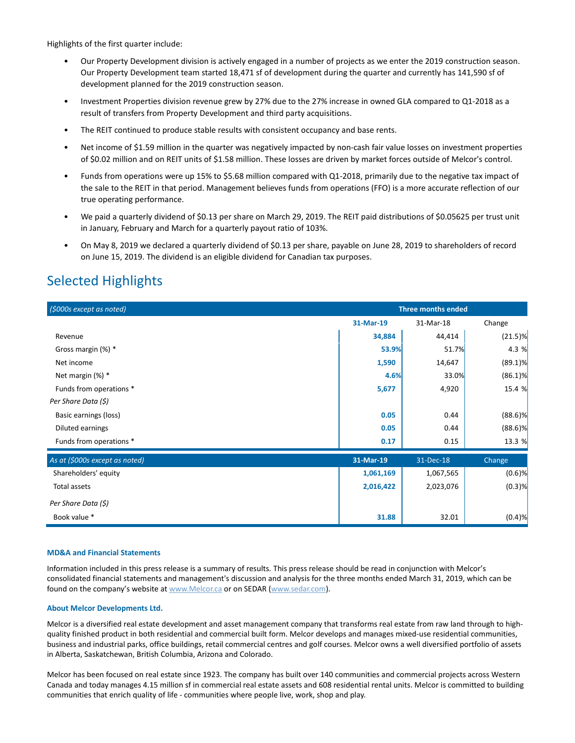Highlights of the first quarter include:

- Our Property Development division is actively engaged in a number of projects as we enter the 2019 construction season. Our Property Development team started 18,471 sf of development during the quarter and currently has 141,590 sf of development planned for the 2019 construction season.
- Investment Properties division revenue grew by 27% due to the 27% increase in owned GLA compared to Q1-2018 as a result of transfers from Property Development and third party acquisitions.
- The REIT continued to produce stable results with consistent occupancy and base rents.
- Net income of \$1.59 million in the quarter was negatively impacted by non-cash fair value losses on investment properties of \$0.02 million and on REIT units of \$1.58 million. These losses are driven by market forces outside of Melcor's control.
- Funds from operations were up 15% to \$5.68 million compared with Q1-2018, primarily due to the negative tax impact of the sale to the REIT in that period. Management believes funds from operations (FFO) is a more accurate reflection of our true operating performance.
- We paid a quarterly dividend of \$0.13 per share on March 29, 2019. The REIT paid distributions of \$0.05625 per trust unit in January, February and March for a quarterly payout ratio of 103%.
- On May 8, 2019 we declared a quarterly dividend of \$0.13 per share, payable on June 28, 2019 to shareholders of record on June 15, 2019. The dividend is an eligible dividend for Canadian tax purposes.

## Selected Highlights

| (\$000s except as noted)       | <b>Three months ended</b> |           |            |
|--------------------------------|---------------------------|-----------|------------|
|                                | 31-Mar-19                 | 31-Mar-18 | Change     |
| Revenue                        | 34,884                    | 44,414    | $(21.5)$ % |
| Gross margin (%) *             | 53.9%                     | 51.7%     | 4.3 %      |
| Net income                     | 1,590                     | 14,647    | $(89.1)\%$ |
| Net margin (%) *               | 4.6%                      | 33.0%     | $(86.1)\%$ |
| Funds from operations *        | 5,677                     | 4,920     | 15.4 %     |
| Per Share Data (\$)            |                           |           |            |
| Basic earnings (loss)          | 0.05                      | 0.44      | $(88.6)$ % |
| Diluted earnings               | 0.05                      | 0.44      | $(88.6)$ % |
| Funds from operations *        | 0.17                      | 0.15      | 13.3 %     |
| As at (\$000s except as noted) | 31-Mar-19                 | 31-Dec-18 | Change     |
| Shareholders' equity           | 1,061,169                 | 1,067,565 | $(0.6)$ %  |
| Total assets                   | 2,016,422                 | 2,023,076 | $(0.3)$ %  |
| Per Share Data (\$)            |                           |           |            |
| Book value *                   | 31.88                     | 32.01     | (0.4)%     |

## **MD&A and Financial Statements**

Information included in this press release is a summary of results. This press release should be read in conjunction with Melcor's consolidated financial statements and management's discussion and analysis for the three months ended March 31, 2019, which can be found on the company's website at www.Melcor.ca or on SEDAR (www.sedar.com).

### **About Melcor Developments Ltd.**

Melcor is a diversified real estate development and asset management company that transforms real estate from raw land through to highquality finished product in both residential and commercial built form. Melcor develops and manages mixed-use residential communities, business and industrial parks, office buildings, retail commercial centres and golf courses. Melcor owns a well diversified portfolio of assets in Alberta, Saskatchewan, British Columbia, Arizona and Colorado.

Melcor has been focused on real estate since 1923. The company has built over 140 communities and commercial projects across Western Canada and today manages 4.15 million sf in commercial real estate assets and 608 residential rental units. Melcor is committed to building communities that enrich quality of life - communities where people live, work, shop and play.